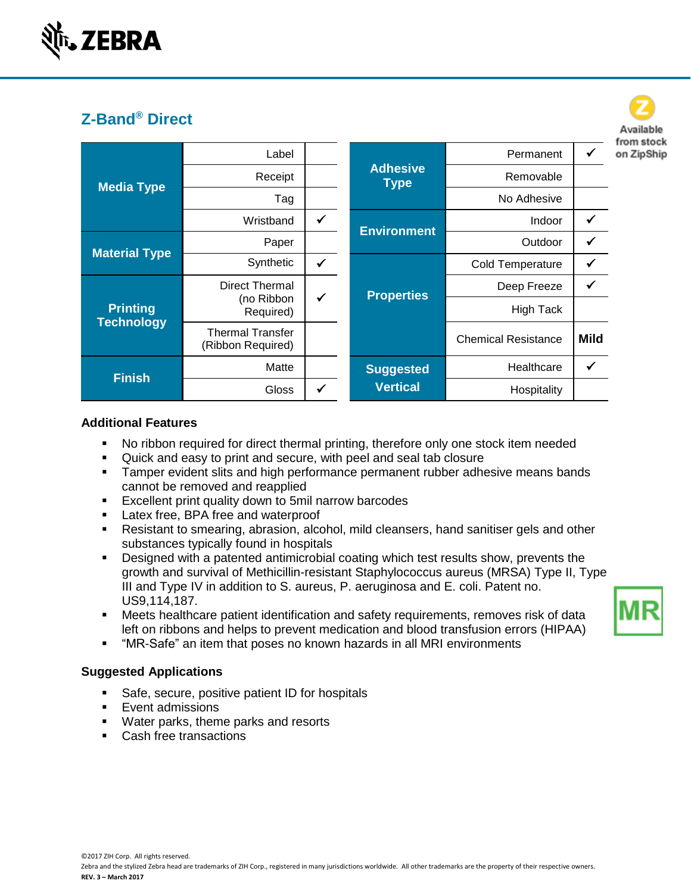

|                                      |                                              |              |                                |                            |             | from stock |
|--------------------------------------|----------------------------------------------|--------------|--------------------------------|----------------------------|-------------|------------|
| <b>Media Type</b>                    | Label                                        |              |                                | Permanent                  |             | on ZipShip |
|                                      | Receipt                                      |              | <b>Adhesive</b><br><b>Type</b> | Removable                  |             |            |
|                                      | Tag                                          |              |                                | No Adhesive                |             |            |
|                                      | Wristband                                    | $\checkmark$ |                                | <b>Indoor</b>              |             |            |
| <b>Material Type</b>                 | Paper                                        |              | <b>Environment</b>             | Outdoor                    |             |            |
|                                      | Synthetic                                    | $\checkmark$ |                                | Cold Temperature           | √           |            |
| <b>Printing</b><br><b>Technology</b> | Direct Thermal                               |              | <b>Properties</b>              | Deep Freeze                | ✔           |            |
|                                      | (no Ribbon<br>Required)                      | $\checkmark$ |                                | High Tack                  |             |            |
|                                      | <b>Thermal Transfer</b><br>(Ribbon Required) |              |                                | <b>Chemical Resistance</b> | <b>Mild</b> |            |
| <b>Finish</b>                        | Matte                                        |              | <b>Suggested</b>               | Healthcare                 |             |            |
|                                      | <b>Gloss</b>                                 | ✓            | <b>Vertical</b>                | Hospitality                |             |            |

## **Additional Features**

- No ribbon required for direct thermal printing, therefore only one stock item needed
- Quick and easy to print and secure, with peel and seal tab closure
- **EXT** Tamper evident slits and high performance permanent rubber adhesive means bands cannot be removed and reapplied
- **Excellent print quality down to 5mil narrow barcodes**
- **EXECO LATE:** Latex free, BPA free and waterproof
- **EXEL** Resistant to smearing, abrasion, alcohol, mild cleansers, hand sanitiser gels and other substances typically found in hospitals
- Designed with a patented antimicrobial coating which test results show, prevents the growth and survival of Methicillin-resistant Staphylococcus aureus (MRSA) Type II, Type III and Type IV in addition to S. aureus, P. aeruginosa and E. coli. Patent no. US9,114,187.
- **■** Meets healthcare patient identification and safety requirements, removes risk of data left on ribbons and helps to prevent medication and blood transfusion errors (HIPAA)
- "MR-Safe" an item that poses no known hazards in all MRI environments

## **Suggested Applications**

- Safe, secure, positive patient ID for hospitals
- Event admissions
- Water parks, theme parks and resorts
- Cash free transactions



Available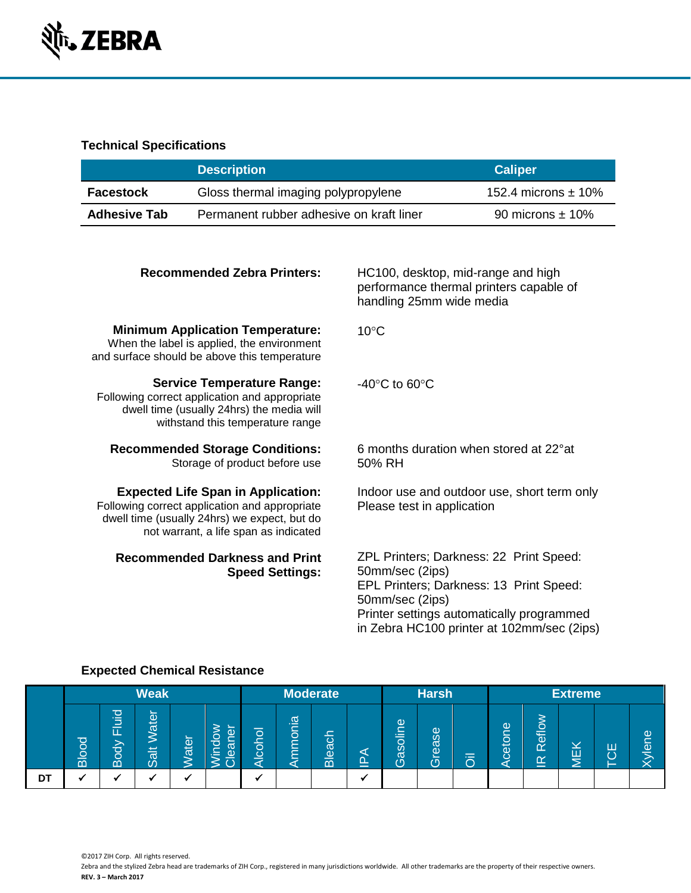

# **Technical Specifications**

|                     | <b>Description</b>                       | <b>Caliper</b>          |
|---------------------|------------------------------------------|-------------------------|
| <b>Facestock</b>    | Gloss thermal imaging polypropylene      | 152.4 microns $\pm$ 10% |
| <b>Adhesive Tab</b> | Permanent rubber adhesive on kraft liner | 90 microns $\pm$ 10%    |

| HC100, desktop, mid-range and high<br>performance thermal printers capable of<br>handling 25mm wide media                                                                                                           |
|---------------------------------------------------------------------------------------------------------------------------------------------------------------------------------------------------------------------|
| $10^{\circ}$ C                                                                                                                                                                                                      |
| $-40^{\circ}$ C to 60 $^{\circ}$ C                                                                                                                                                                                  |
| 6 months duration when stored at 22°at<br>50% RH                                                                                                                                                                    |
| Indoor use and outdoor use, short term only<br>Please test in application                                                                                                                                           |
| ZPL Printers; Darkness: 22 Print Speed:<br>50mm/sec (2ips)<br>EPL Printers; Darkness: 13 Print Speed:<br>50mm/sec (2ips)<br>Printer settings automatically programmed<br>in Zebra HC100 printer at 102mm/sec (2ips) |
|                                                                                                                                                                                                                     |

|    | <b>Weak</b>  |                                           |                                                         |      | <b>Moderate</b><br><b>Harsh</b>                                          |                          |                                                             |                                               |             | <b>Extreme</b>                      |            |          |        |                                                      |                    |   |                                                                           |
|----|--------------|-------------------------------------------|---------------------------------------------------------|------|--------------------------------------------------------------------------|--------------------------|-------------------------------------------------------------|-----------------------------------------------|-------------|-------------------------------------|------------|----------|--------|------------------------------------------------------|--------------------|---|---------------------------------------------------------------------------|
|    | <b>Blood</b> | 고<br>–<br>–<br>_<br>ц.<br><u> ල</u><br>Ŏ. | $\sim$<br>$\overline{\mathsf{e}}$<br>ັດວ<br>土<br>൯<br>Ø | ater | $\sim$<br>Ф<br>$\bar{\sigma}$<br>ត<br>$\mathbf{\underline{\omega}}$<br>⋰ | ਠ<br>—<br>$\overline{8}$ | $\sigma$<br>≔<br>_<br>$\circ$<br>–<br>–<br>–<br>-<br>=<br>− | _<br>৳<br>ര്<br>യ<br>$\bar{\bar{\mathsf{m}}}$ | ◅<br>ല<br>_ | $\underline{\omega}$<br>asolir<br>Э | rease<br>ෆ | $=$<br>Ō | cetone | eflo<br>$\alpha$<br>$\underline{\underline{\alpha}}$ | $\bf{Y}$<br>щ<br>_ | ш | $\omega$<br>$\overline{\phantom{a}}$<br>$\sim$<br>$\overline{\mathsf{D}}$ |
| DT |              |                                           |                                                         |      |                                                                          | -4                       |                                                             |                                               |             |                                     |            |          |        |                                                      |                    |   |                                                                           |

## **Expected Chemical Resistance**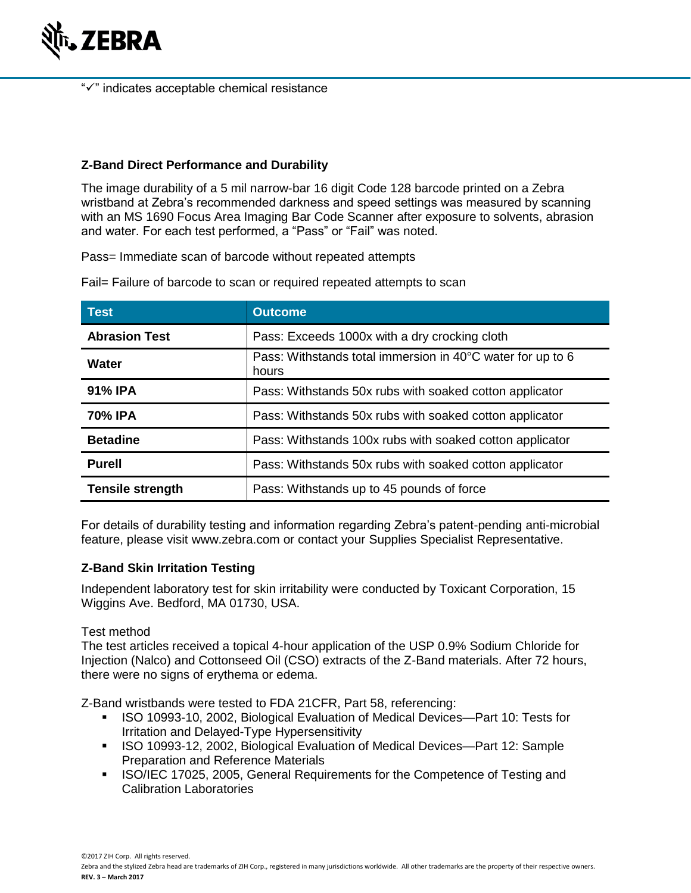

"✓" indicates acceptable chemical resistance

## **Z-Band Direct Performance and Durability**

The image durability of a 5 mil narrow-bar 16 digit Code 128 barcode printed on a Zebra wristband at Zebra's recommended darkness and speed settings was measured by scanning with an MS 1690 Focus Area Imaging Bar Code Scanner after exposure to solvents, abrasion and water. For each test performed, a "Pass" or "Fail" was noted.

Pass= Immediate scan of barcode without repeated attempts

Fail= Failure of barcode to scan or required repeated attempts to scan

| <b>Test</b>             | <b>Outcome</b>                                                      |  |  |  |  |  |  |
|-------------------------|---------------------------------------------------------------------|--|--|--|--|--|--|
| <b>Abrasion Test</b>    | Pass: Exceeds 1000x with a dry crocking cloth                       |  |  |  |  |  |  |
| Water                   | Pass: Withstands total immersion in 40°C water for up to 6<br>hours |  |  |  |  |  |  |
| 91% IPA                 | Pass: Withstands 50x rubs with soaked cotton applicator             |  |  |  |  |  |  |
| 70% IPA                 | Pass: Withstands 50x rubs with soaked cotton applicator             |  |  |  |  |  |  |
| <b>Betadine</b>         | Pass: Withstands 100x rubs with soaked cotton applicator            |  |  |  |  |  |  |
| <b>Purell</b>           | Pass: Withstands 50x rubs with soaked cotton applicator             |  |  |  |  |  |  |
| <b>Tensile strength</b> | Pass: Withstands up to 45 pounds of force                           |  |  |  |  |  |  |

For details of durability testing and information regarding Zebra's patent-pending anti-microbial feature, please visit www.zebra.com or contact your Supplies Specialist Representative.

## **Z-Band Skin Irritation Testing**

Independent laboratory test for skin irritability were conducted by Toxicant Corporation, 15 Wiggins Ave. Bedford, MA 01730, USA.

## Test method

The test articles received a topical 4-hour application of the USP 0.9% Sodium Chloride for Injection (Nalco) and Cottonseed Oil (CSO) extracts of the Z-Band materials. After 72 hours, there were no signs of erythema or edema.

Z-Band wristbands were tested to FDA 21CFR, Part 58, referencing:

- ISO 10993-10, 2002, Biological Evaluation of Medical Devices—Part 10: Tests for Irritation and Delayed-Type Hypersensitivity
- ISO 10993-12, 2002, Biological Evaluation of Medical Devices—Part 12: Sample Preparation and Reference Materials
- **EXED/IEC 17025, 2005, General Requirements for the Competence of Testing and** Calibration Laboratories